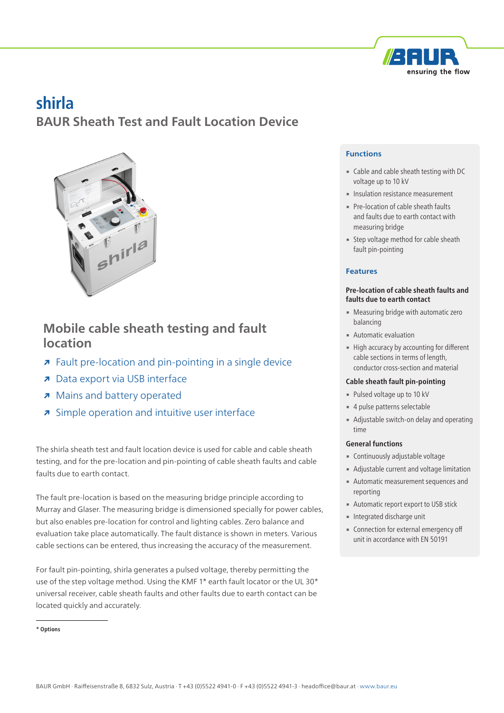

# **shirla**

**BAUR Sheath Test and Fault Location Device**



# **Mobile cable sheath testing and fault location**

- **↗** Fault pre-location and pin-pointing in a single device
- **↗** Data export via USB interface
- **↗** Mains and battery operated
- **↗** Simple operation and intuitive user interface

The shirla sheath test and fault location device is used for cable and cable sheath testing, and for the pre-location and pin-pointing of cable sheath faults and cable faults due to earth contact.

The fault pre-location is based on the measuring bridge principle according to Murray and Glaser. The measuring bridge is dimensioned specially for power cables, but also enables pre-location for control and lighting cables. Zero balance and evaluation take place automatically. The fault distance is shown in meters. Various cable sections can be entered, thus increasing the accuracy of the measurement.

For fault pin-pointing, shirla generates a pulsed voltage, thereby permitting the use of the step voltage method. Using the KMF 1\* earth fault locator or the UL 30\* universal receiver, cable sheath faults and other faults due to earth contact can be located quickly and accurately.

# **Functions**

- Cable and cable sheath testing with DC voltage up to 10 kV
- **Insulation resistance measurement**
- Pre-location of cable sheath faults and faults due to earth contact with measuring bridge
- **Example 3 Step voltage method for cable sheath** fault pin-pointing

## **Features**

#### **Pre-location of cable sheath faults and faults due to earth contact**

- **Measuring bridge with automatic zero** balancing
- **■** Automatic evaluation
- **EXECUTE High accuracy by accounting for different** cable sections in terms of length, conductor cross-section and material

#### **Cable sheath fault pin-pointing**

- Pulsed voltage up to 10 kV
- 4 pulse patterns selectable
- **EXECUTE:** Adjustable switch-on delay and operating time

## **General functions**

- **Continuously adjustable voltage**
- **EXEDENT** Adjustable current and voltage limitation
- **Automatic measurement sequences and** reporting
- **EXECUTE: Automatic report export to USB stick**
- **Integrated discharge unit**
- **Connection for external emergency off** unit in accordance with EN 50191

**<sup>\*</sup> Options**